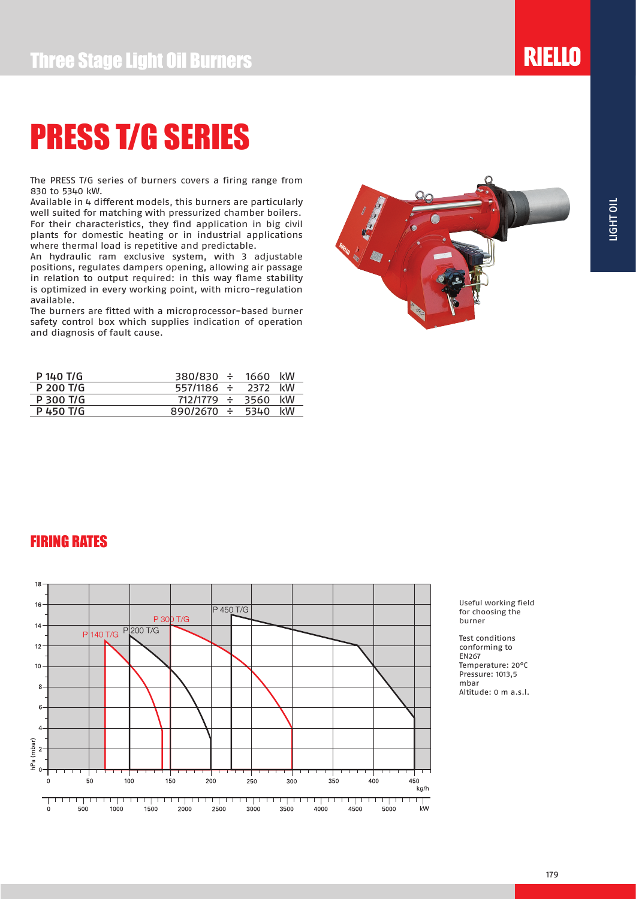# PRESS T/G SERIES

The PRESS T/G series of burners covers a firing range from 830 to 5340 kW.

Available in 4 different models, this burners are particularly well suited for matching with pressurized chamber boilers. For their characteristics, they find application in big civil plants for domestic heating or in industrial applications where thermal load is repetitive and predictable.

An hydraulic ram exclusive system, with 3 adjustable positions, regulates dampers opening, allowing air passage in relation to output required: in this way flame stability is optimized in every working point, with micro-regulation available.

The burners are fitted with a microprocessor-based burner safety control box which supplies indication of operation and diagnosis of fault cause.



**RIELLO** 

| P 140 T/G | $380/830 \div$  | 1660 | kW |
|-----------|-----------------|------|----|
| P 200 T/G | 557/1186 ÷      | 2372 | kW |
| P 300 T/G | 712/1779 ÷      | 3560 | kW |
| P 450 T/G | $890/2670 \div$ | 5340 | kW |
|           |                 |      |    |

### FIRING RATES



Useful working field for choosing the burner

Test conditions conforming to EN267 Temperature: 20°C Pressure: 1013,5 mbar Altitude: 0 m a.s.l.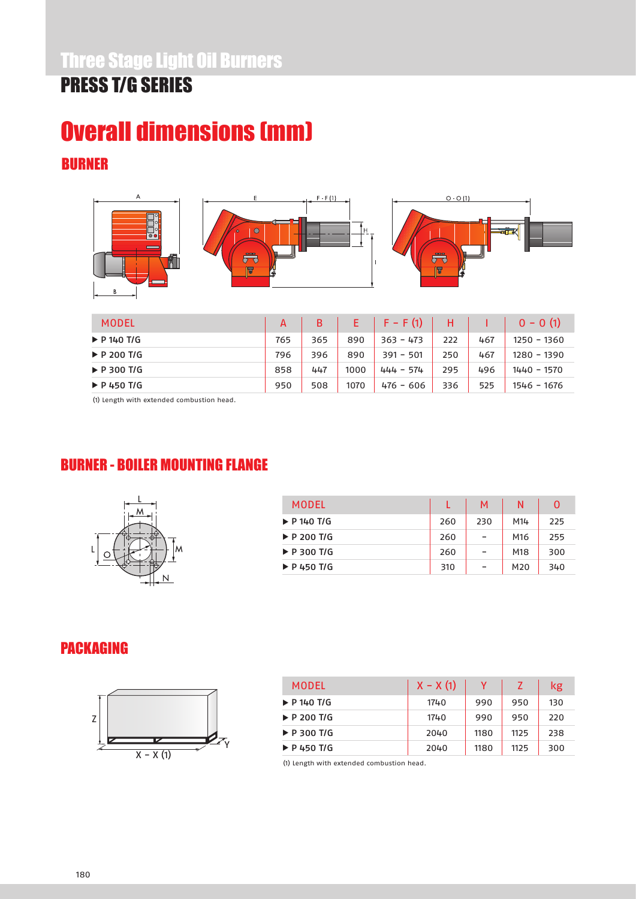# BURNER Overall dimensions (mm)



| MODEL                      | A   | B   |      | $F - F(1)$  | н   |     | $0 - 0(1)$    |
|----------------------------|-----|-----|------|-------------|-----|-----|---------------|
| $\triangleright$ P 140 T/G | 765 | 365 | 890  | $363 - 473$ | 222 | 467 | 1250 - 1360   |
| $\triangleright$ P 200 T/G | 796 | 396 | 890  | $391 - 501$ | 250 | 467 | 1280 - 1390   |
| $\triangleright$ P 300 T/G | 858 | 447 | 1000 | $444 - 574$ | 295 | 496 | $1440 - 1570$ |
| $\triangleright$ P 450 T/G | 950 | 508 | 1070 | $476 - 606$ | 336 | 525 | 1546 - 1676   |
|                            |     |     |      |             |     |     |               |

(1) Length with extended combustion head.

### BURNER - BOILER MOUNTING FLANGE



| MODEL                      |     | М   | Ν               | 0   |
|----------------------------|-----|-----|-----------------|-----|
| $\triangleright$ P 140 T/G | 260 | 230 | M14             | 225 |
| $\triangleright$ P 200 T/G | 260 | -   | M16             | 255 |
| $\triangleright$ P 300 T/G | 260 | ۰   | M18             | 300 |
| $\triangleright$ P 450 T/G | 310 | -   | M <sub>20</sub> | 340 |

### PACKAGING



| MODEL                      | $X - X(1)$ |      |      | kg  |
|----------------------------|------------|------|------|-----|
| $\triangleright$ P 140 T/G | 1740       | 990  | 950  | 130 |
| $\triangleright$ P 200 T/G | 1740       | 990  | 950  | 220 |
| $\triangleright$ P 300 T/G | 2040       | 1180 | 1125 | 238 |
| $\triangleright$ P 450 T/G | 2040       | 1180 | 1125 | 300 |

(1) Length with extended combustion head.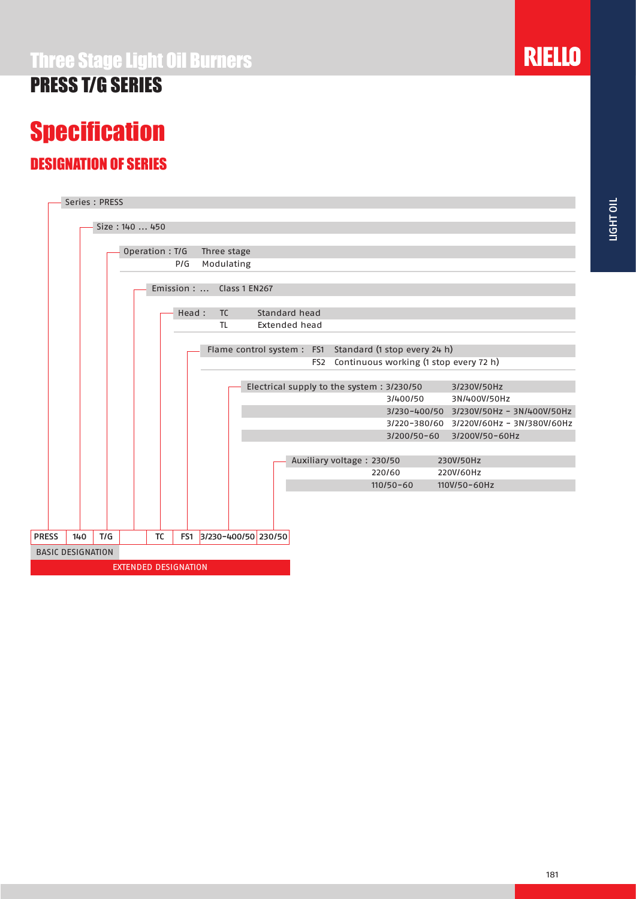# PRESS T/G SERIES

# **Specification**

### DESIGNATION OF SERIES



**RIELLO**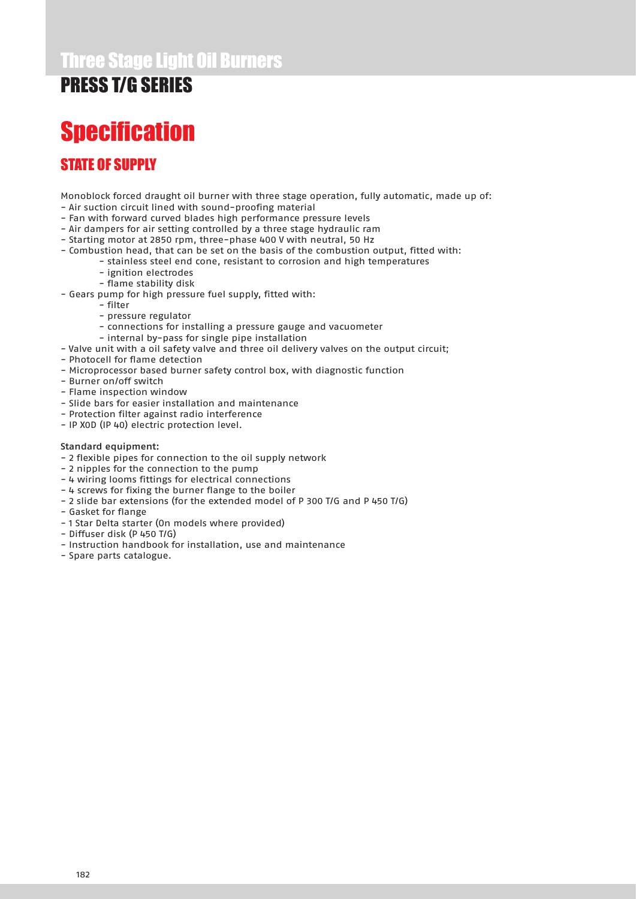### Three Stage Light Oil Burners

### PRESS T/G SERIES

# **Specification**

### STATE OF SUPPLY

Monoblock forced draught oil burner with three stage operation, fully automatic, made up of:

- Air suction circuit lined with sound-proofing material
- Fan with forward curved blades high performance pressure levels
- Air dampers for air setting controlled by a three stage hydraulic ram
- Starting motor at 2850 rpm, three-phase 400 V with neutral, 50 Hz
- Combustion head, that can be set on the basis of the combustion output, fitted with:
	- stainless steel end cone, resistant to corrosion and high temperatures
		- ignition electrodes
	- flame stability disk
- Gears pump for high pressure fuel supply, fitted with:
	- filter
	- pressure regulator
	- connections for installing a pressure gauge and vacuometer
	- internal by-pass for single pipe installation
- Valve unit with a oil safety valve and three oil delivery valves on the output circuit;
- Photocell for flame detection
- Microprocessor based burner safety control box, with diagnostic function
- Burner on/off switch
- Flame inspection window
- Slide bars for easier installation and maintenance
- Protection filter against radio interference
- IP X0D (IP 40) electric protection level.

#### Standard equipment:

- 2 flexible pipes for connection to the oil supply network
- 2 nipples for the connection to the pump
- 4 wiring looms fittings for electrical connections
- 4 screws for fixing the burner flange to the boiler
- 2 slide bar extensions (for the extended model of P 300 T/G and P 450 T/G)
- Gasket for flange
- 1 Star Delta starter (On models where provided)
- Diffuser disk (P 450 T/G)
- Instruction handbook for installation, use and maintenance
- Spare parts catalogue.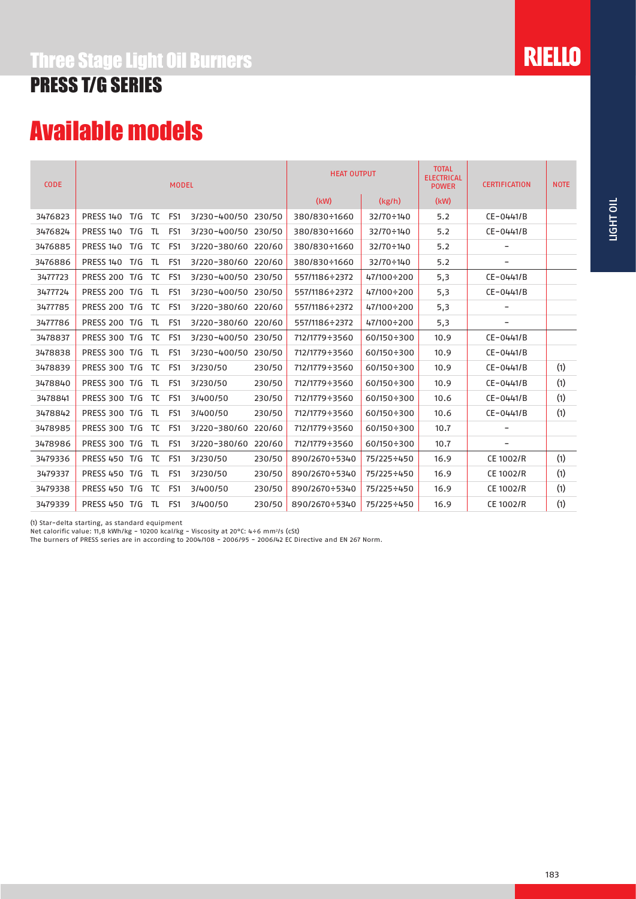### Three Stage Light Oil Burners

### PRESS T/G SERIES

# Available models

| <b>CODE</b> | <b>MODEL</b>                   |             |                     |        | <b>HEAT OUTPUT</b> |                   | <b>TOTAL</b><br><b>ELECTRICAL</b><br><b>POWER</b> | <b>CERTIFICATION</b>     | <b>NOTE</b> |
|-------------|--------------------------------|-------------|---------------------|--------|--------------------|-------------------|---------------------------------------------------|--------------------------|-------------|
|             |                                |             |                     |        | (kW)               | (kg/h)            | (kW)                                              |                          |             |
| 3476823     | <b>PRESS 140</b><br>T/G        | FS1<br>TC   | 3/230-400/50 230/50 |        | 380/830÷1660       | 32/70÷140         | 5.2                                               | $CE-0441/B$              |             |
| 3476824     | <b>PRESS 140</b><br>T/G        | TL<br>FS1   | 3/230-400/50 230/50 |        | 380/830÷1660       | 32/70÷140         | 5.2                                               | $CE-0441/B$              |             |
| 3476885     | <b>PRESS 140</b><br>T/G        | TC<br>FS1   | 3/220-380/60 220/60 |        | 380/830÷1660       | 32/70÷140         | 5.2                                               | -                        |             |
| 3476886     | <b>PRESS 140</b><br>T/G<br>TL. | FS1         | 3/220-380/60 220/60 |        | 380/830÷1660       | 32/70÷140         | 5.2                                               | $\overline{\phantom{a}}$ |             |
| 3477723     | <b>PRESS 200 T/G</b>           | TC T<br>FS1 | 3/230-400/50 230/50 |        | 557/1186÷2372      | 47/100÷200        | 5,3                                               | $CE-0441/B$              |             |
| 3477724     | <b>PRESS 200 T/G</b>           | TL<br>FS1   | 3/230-400/50 230/50 |        | 557/1186÷2372      | 47/100÷200        | 5,3                                               | CE-0441/B                |             |
| 3477785     | <b>PRESS 200 T/G</b>           | TC<br>FS1   | 3/220-380/60 220/60 |        | 557/1186÷2372      | 47/100÷200        | 5,3                                               | -                        |             |
| 3477786     | <b>PRESS 200 T/G</b>           | TL<br>FS1   | 3/220-380/60 220/60 |        | 557/1186÷2372      | 47/100÷200        | 5,3                                               | -                        |             |
| 3478837     | PRESS 300 T/G<br>TC            | FS1         | 3/230-400/50 230/50 |        | 712/1779÷3560      | 60/150÷300        | 10.9                                              | $CE-0441/B$              |             |
| 3478838     | <b>PRESS 300 T/G</b><br>TL.    | FS1         | 3/230-400/50        | 230/50 | 712/1779÷3560      | $60/150 \div 300$ | 10.9                                              | $CE-0441/B$              |             |
| 3478839     | <b>PRESS 300 T/G</b>           | TC<br>FS1   | 3/230/50            | 230/50 | 712/1779÷3560      | 60/150÷300        | 10.9                                              | $CE-0441/B$              | (1)         |
| 3478840     | PRESS 300 T/G                  | TL<br>FS1   | 3/230/50            | 230/50 | 712/1779÷3560      | 60/150÷300        | 10.9                                              | CE-0441/B                | (1)         |
| 3478841     | <b>PRESS 300 T/G</b><br>TC     | FS1         | 3/400/50            | 230/50 | 712/1779÷3560      | $60/150 \div 300$ | 10.6                                              | $CE-0441/B$              | (1)         |
| 3478842     | <b>PRESS 300 T/G</b><br>TL     | FS1         | 3/400/50            | 230/50 | 712/1779÷3560      | $60/150 \div 300$ | 10.6                                              | $CE-0441/B$              | (1)         |
| 3478985     | PRESS 300 T/G                  | TC<br>FS1   | 3/220-380/60        | 220/60 | 712/1779÷3560      | 60/150÷300        | 10.7                                              |                          |             |
| 3478986     | PRESS 300 T/G                  | TL<br>FS1   | 3/220-380/60        | 220/60 | 712/1779÷3560      | 60/150÷300        | 10.7                                              | $\overline{\phantom{a}}$ |             |
| 3479336     | PRESS 450 T/G                  | TC<br>FS1   | 3/230/50            | 230/50 | 890/2670÷5340      | 75/225÷450        | 16.9                                              | CE 1002/R                | (1)         |
| 3479337     | PRESS 450 T/G<br>TL            | FS1         | 3/230/50            | 230/50 | 890/2670÷5340      | 75/225÷450        | 16.9                                              | CE 1002/R                | (1)         |
| 3479338     | PRESS 450 T/G                  | TC<br>FS1   | 3/400/50            | 230/50 | 890/2670÷5340      | 75/225÷450        | 16.9                                              | CE 1002/R                | (1)         |
| 3479339     | PRESS 450 T/G<br>TL.           | FS1         | 3/400/50            | 230/50 | 890/2670÷5340      | 75/225÷450        | 16.9                                              | CE 1002/R                | (1)         |

(1) Star-delta starting, as standard equipment

Net calorific value: 11,8 kWh/kg - 10200 kcal/kg - Viscosity at 20 $\degree$ C: 4÷6 mm<sup>2</sup>/s (cSt)

The burners of PRESS series are in according to 2004/108 - 2006/95 - 2006/42 EC Directive and EN 267 Norm.

**RIELLO**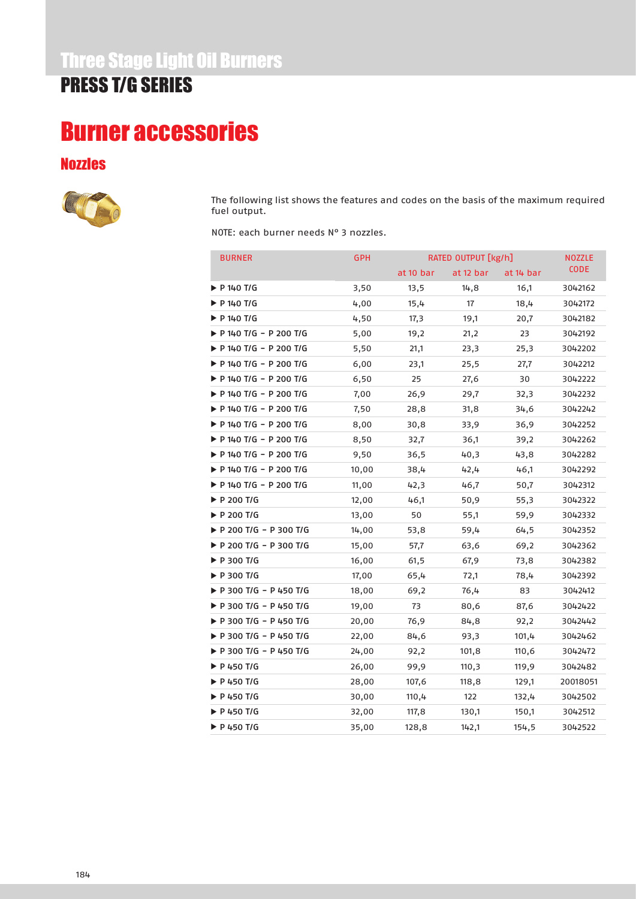# Burner accessories

#### Nozzles



The following list shows the features and codes on the basis of the maximum required fuel output.

NOTE: each burner needs N° 3 nozzles.

| <b>BURNER</b>              | <b>GPH</b> | RATED OUTPUT [kg/h] | <b>NOZZLE</b> |           |             |
|----------------------------|------------|---------------------|---------------|-----------|-------------|
|                            |            | at 10 bar           | at 12 bar     | at 14 bar | <b>CODE</b> |
| P 140 T/G                  | 3,50       | 13,5                | 14,8          | 16,1      | 3042162     |
| ▶ P 140 T/G                | 4,00       | 15,4                | 17            | 18,4      | 3042172     |
| ▶ P 140 T/G                | 4,50       | 17,3                | 19,1          | 20,7      | 3042182     |
| P 140 T/G - P 200 T/G      | 5,00       | 19,2                | 21,2          | 23        | 3042192     |
| P 140 T/G - P 200 T/G      | 5,50       | 21,1                | 23,3          | 25,3      | 3042202     |
| ▶ P 140 T/G - P 200 T/G    | 6,00       | 23,1                | 25,5          | 27,7      | 3042212     |
| P 140 T/G - P 200 T/G      | 6,50       | 25                  | 27,6          | 30        | 3042222     |
| ▶ P 140 T/G - P 200 T/G    | 7,00       | 26,9                | 29,7          | 32,3      | 3042232     |
| ▶ P 140 T/G - P 200 T/G    | 7,50       | 28,8                | 31,8          | 34,6      | 3042242     |
| P 140 T/G - P 200 T/G      | 8,00       | 30,8                | 33,9          | 36,9      | 3042252     |
| ▶ P 140 T/G - P 200 T/G    | 8,50       | 32,7                | 36,1          | 39,2      | 3042262     |
| ▶ P 140 T/G - P 200 T/G    | 9,50       | 36,5                | 40,3          | 43,8      | 3042282     |
| P 140 T/G - P 200 T/G      | 10,00      | 38,4                | 42,4          | 46,1      | 3042292     |
| ▶ P 140 T/G - P 200 T/G    | 11,00      | 42,3                | 46,7          | 50,7      | 3042312     |
| ▶ P 200 T/G                | 12,00      | 46,1                | 50,9          | 55,3      | 3042322     |
| ▶ P 200 T/G                | 13,00      | 50                  | 55,1          | 59,9      | 3042332     |
| P 200 T/G - P 300 T/G      | 14,00      | 53,8                | 59,4          | 64,5      | 3042352     |
| ▶ P 200 T/G - P 300 T/G    | 15,00      | 57,7                | 63,6          | 69,2      | 3042362     |
| ▶ P 300 T/G                | 16,00      | 61,5                | 67,9          | 73,8      | 3042382     |
| ▶ P 300 T/G                | 17,00      | 65,4                | 72,1          | 78,4      | 3042392     |
| ▶ P 300 T/G - P 450 T/G    | 18,00      | 69,2                | 76,4          | 83        | 3042412     |
| ▶ P 300 T/G - P 450 T/G    | 19,00      | 73                  | 80,6          | 87,6      | 3042422     |
| P 300 T/G - P 450 T/G      | 20,00      | 76,9                | 84,8          | 92,2      | 3042442     |
| ▶ P 300 T/G - P 450 T/G    | 22,00      | 84,6                | 93,3          | 101,4     | 3042462     |
| ▶ P 300 T/G - P 450 T/G    | 24,00      | 92,2                | 101,8         | 110,6     | 3042472     |
| ▶ P 450 T/G                | 26,00      | 99,9                | 110,3         | 119,9     | 3042482     |
| ▶ P 450 T/G                | 28,00      | 107,6               | 118,8         | 129,1     | 20018051    |
| $\triangleright$ P 450 T/G | 30,00      | 110,4               | 122           | 132,4     | 3042502     |
| ▶ P 450 T/G                | 32,00      | 117,8               | 130,1         | 150,1     | 3042512     |
| P 450 T/G                  | 35,00      | 128,8               | 142,1         | 154,5     | 3042522     |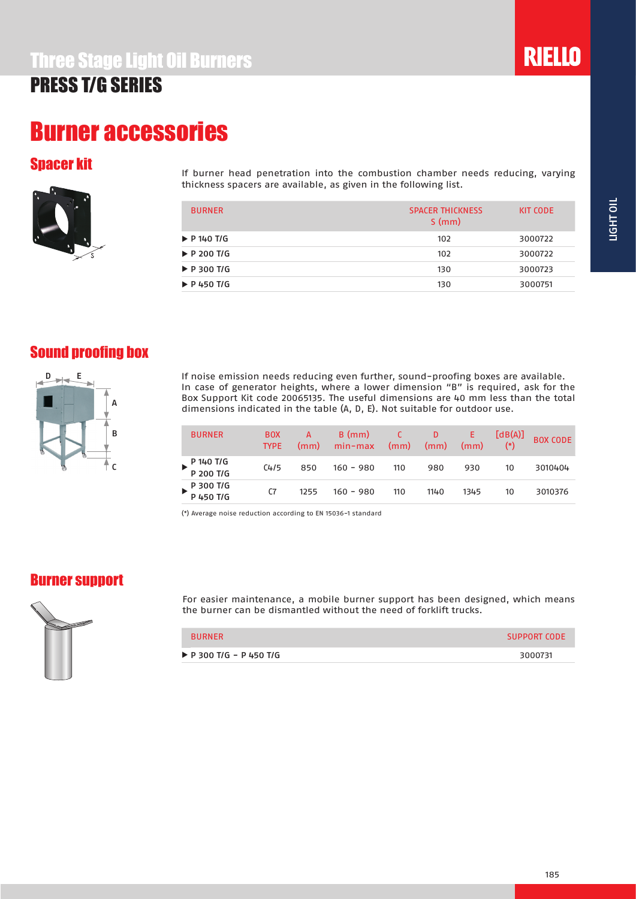### Burner accessories

#### Spacer kit



If burner head penetration into the combustion chamber needs reducing, varying thickness spacers are available, as given in the following list.

| <b>BURNER</b>              | <b>SPACER THICKNESS</b><br>S(mm) | KIT CODE |
|----------------------------|----------------------------------|----------|
| $\triangleright$ P 140 T/G | 102                              | 3000722  |
| $\triangleright$ P 200 T/G | 102                              | 3000722  |
| $\triangleright$ P 300 T/G | 130                              | 3000723  |
| $\triangleright$ P 450 T/G | 130                              | 3000751  |

### Sound proofing box



If noise emission needs reducing even further, sound-proofing boxes are available. In case of generator heights, where a lower dimension "B" is required, ask for the Box Support Kit code 20065135. The useful dimensions are 40 mm less than the total dimensions indicated in the table (A, D, E). Not suitable for outdoor use.

| <b>BURNER</b>            | <b>BOX</b><br><b>TYPE</b> | А<br>(mm) | $B$ (mm)<br>$min-max$ | (mm) | D<br>(mm) | E.<br>(mm) | [dB(A)]<br>$(*)$ | <b>BOX CODE</b> |
|--------------------------|---------------------------|-----------|-----------------------|------|-----------|------------|------------------|-----------------|
| P 140 T/G<br>P 200 T/G   | C4/5                      | 850       | $160 - 980$           | 110  | 980       | 930        | 10               | 3010404         |
| $P$ 300 T/G<br>P 450 T/G | C7                        | 1255      | $160 - 980$           | 110  | 1140      | 1345       | 10               | 3010376         |

(\*) Average noise reduction according to EN 15036-1 standard

#### Burner support



For easier maintenance, a mobile burner support has been designed, which means the burner can be dismantled without the need of forklift trucks.

| <b>BURNER</b>                          | SUPPORT CODE |
|----------------------------------------|--------------|
| $\triangleright$ P 300 T/G - P 450 T/G | 3000731      |

**RIELLO**